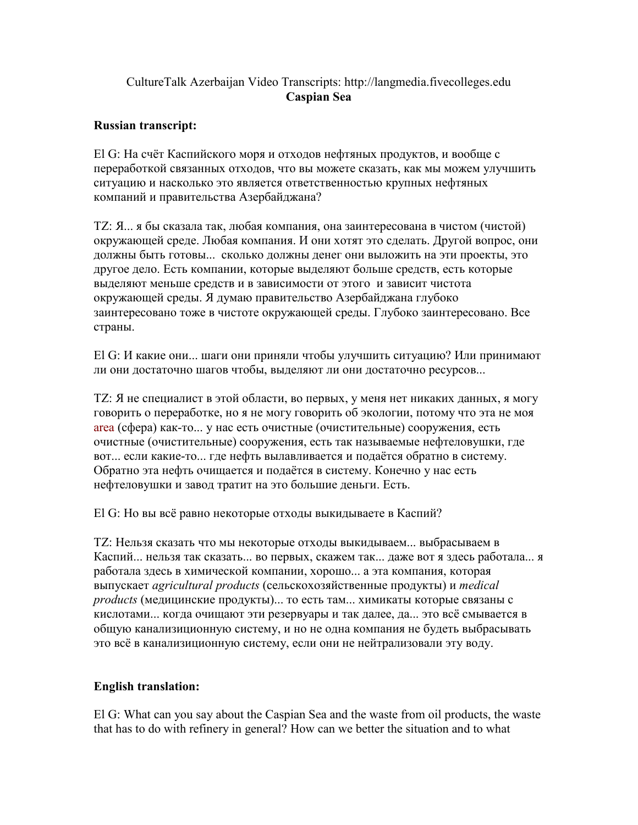## CultureTalk Azerbaijan Video Transcripts: http://langmedia.fivecolleges.edu Caspian Sea

## Russian transcript:

El G: На счёт Каспийского моря и отходов нефтяных продуктов, и вообще с переработкой связанных отходов, что вы можете сказать, как мы можем улучшить ситуацию и насколько это является ответственностью крупных нефтяных компаний и правительства Азербайджана?

TZ: Я... я бы сказала так, любая компания, она заинтересована в чистом (чистой) окружающей среде. Любая компания. И они хотят это сделать. Другой вопрос, они должны быть готовы... сколько должны денег они выложить на эти проекты, это другое дело. Есть компании, которые выделяют больше средств, есть которые выделяют меньше средств и в зависимости от этого и зависит чистота окружающей среды. Я думаю правительство Азербайджана глубоко заинтересовано тоже в чистоте окружающей среды. Глубоко заинтересовано. Все страны.

El G: И какие они... шаги они приняли чтобы улучшить ситуацию? Или принимают ли они достаточно шагов чтобы, выделяют ли они достаточно ресурсов...

TZ: Я не специалист в этой области, во первых, у меня нет никаких данных, я могу говорить о переработке, но я не могу говорить об экологии, потому что эта не моя area (сфера) как-то... у нас есть очистные (очистительные) сооружения, есть очистные (очистительные) сооружения, есть так называемые нефтеловушки, где вот... если какие-то... где нефть вылавливается и подаётся обратно в систему. Обратно эта нефть очищается и подаётся в систему. Конечно у нас есть нефтеловушки и завод тратит на это большие деньги. Есть.

El G: Но вы всё равно некоторые отходы выкидываете в Каспий?

TZ: Нельзя сказать что мы некоторые отходы выкидываем... выбрасываем в Каспий... нельзя так сказать... во первых, скажем так... даже вот я здесь работала... я работала здесь в химической компании, хорошо... а эта компания, которая выпускает agricultural products (сельскохозяйственные продукты) и medical products (медицинские продукты)... то есть там... химикаты которые связаны с кислотами... когда очищают эти резервуары и так далее, да... это всё смывается в общую канализиционную систему, и но не одна компания не будеть выбрасывать это всё в канализиционную систему, если они не нейтрализовали эту воду.

## English translation:

El G: What can you say about the Caspian Sea and the waste from oil products, the waste that has to do with refinery in general? How can we better the situation and to what